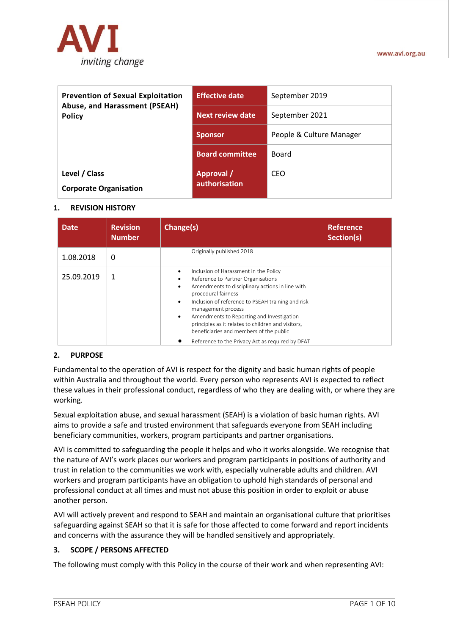

| <b>Prevention of Sexual Exploitation</b><br>Abuse, and Harassment (PSEAH)<br><b>Policy</b> | <b>Effective date</b>              | September 2019           |
|--------------------------------------------------------------------------------------------|------------------------------------|--------------------------|
|                                                                                            | <b>Next review date</b>            | September 2021           |
|                                                                                            | <b>Sponsor</b>                     | People & Culture Manager |
|                                                                                            | <b>Board committee</b>             | Board                    |
| Level / Class<br><b>Corporate Organisation</b>                                             | <b>Approval</b> /<br>authorisation | CEO                      |

### **1. REVISION HISTORY**

| <b>Date</b> | <b>Revision</b><br><b>Number</b> | Change(s)                                                                                                                                                                                                                                                                                                                                                                                                                               | <b>Reference</b><br>Section(s) |
|-------------|----------------------------------|-----------------------------------------------------------------------------------------------------------------------------------------------------------------------------------------------------------------------------------------------------------------------------------------------------------------------------------------------------------------------------------------------------------------------------------------|--------------------------------|
| 1.08.2018   | 0                                | Originally published 2018                                                                                                                                                                                                                                                                                                                                                                                                               |                                |
| 25.09.2019  | 1                                | Inclusion of Harassment in the Policy<br>$\bullet$<br>Reference to Partner Organisations<br>٠<br>Amendments to disciplinary actions in line with<br>$\bullet$<br>procedural fairness<br>Inclusion of reference to PSEAH training and risk<br>$\bullet$<br>management process<br>Amendments to Reporting and Investigation<br>$\bullet$<br>principles as it relates to children and visitors,<br>beneficiaries and members of the public |                                |
|             |                                  | Reference to the Privacy Act as required by DFAT                                                                                                                                                                                                                                                                                                                                                                                        |                                |

### **2. PURPOSE**

Fundamental to the operation of AVI is respect for the dignity and basic human rights of people within Australia and throughout the world. Every person who represents AVI is expected to reflect these values in their professional conduct, regardless of who they are dealing with, or where they are working.

Sexual exploitation abuse, and sexual harassment (SEAH) is a violation of basic human rights. AVI aims to provide a safe and trusted environment that safeguards everyone from SEAH including beneficiary communities, workers, program participants and partner organisations.

AVI is committed to safeguarding the people it helps and who it works alongside. We recognise that the nature of AVI's work places our workers and program participants in positions of authority and trust in relation to the communities we work with, especially vulnerable adults and children. AVI workers and program participants have an obligation to uphold high standards of personal and professional conduct at all times and must not abuse this position in order to exploit or abuse another person.

AVI will actively prevent and respond to SEAH and maintain an organisational culture that prioritises safeguarding against SEAH so that it is safe for those affected to come forward and report incidents and concerns with the assurance they will be handled sensitively and appropriately.

### **3. SCOPE / PERSONS AFFECTED**

The following must comply with this Policy in the course of their work and when representing AVI: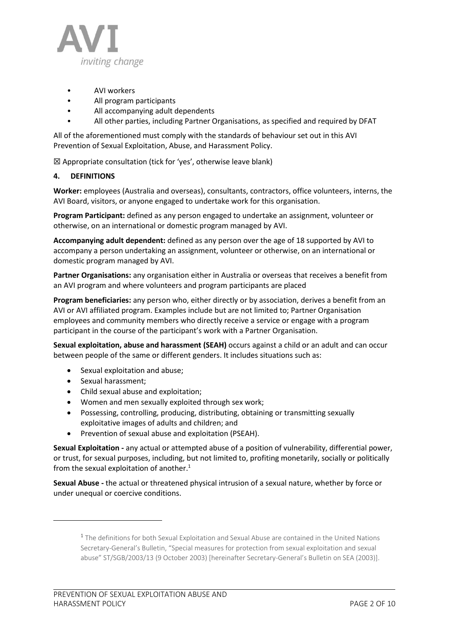

- AVI workers
- All program participants
- All accompanying adult dependents
- All other parties, including Partner Organisations, as specified and required by DFAT

All of the aforementioned must comply with the standards of behaviour set out in this AVI Prevention of Sexual Exploitation, Abuse, and Harassment Policy.

 $\boxtimes$  Appropriate consultation (tick for 'yes', otherwise leave blank)

## **4. DEFINITIONS**

**Worker:** employees (Australia and overseas), consultants, contractors, office volunteers, interns, the AVI Board, visitors, or anyone engaged to undertake work for this organisation.

**Program Participant:** defined as any person engaged to undertake an assignment, volunteer or otherwise, on an international or domestic program managed by AVI.

**Accompanying adult dependent:** defined as any person over the age of 18 supported by AVI to accompany a person undertaking an assignment, volunteer or otherwise, on an international or domestic program managed by AVI.

**Partner Organisations:** any organisation either in Australia or overseas that receives a benefit from an AVI program and where volunteers and program participants are placed

**Program beneficiaries:** any person who, either directly or by association, derives a benefit from an AVI or AVI affiliated program. Examples include but are not limited to; Partner Organisation employees and community members who directly receive a service or engage with a program participant in the course of the participant's work with a Partner Organisation.

**Sexual exploitation, abuse and harassment (SEAH)** occurs against a child or an adult and can occur between people of the same or different genders. It includes situations such as:

- Sexual exploitation and abuse;
- Sexual harassment;
- Child sexual abuse and exploitation;
- Women and men sexually exploited through sex work;
- Possessing, controlling, producing, distributing, obtaining or transmitting sexually exploitative images of adults and children; and
- Prevention of sexual abuse and exploitation (PSEAH).

**Sexual Exploitation -** any actual or attempted abuse of a position of vulnerability, differential power, or trust, for sexual purposes, including, but not limited to, profiting monetarily, socially or politically from the sexual exploitation of another.<sup>1</sup>

**Sexual Abuse -** the actual or threatened physical intrusion of a sexual nature, whether by force or under unequal or coercive conditions.

<sup>&</sup>lt;sup>1</sup> The definitions for both Sexual Exploitation and Sexual Abuse are contained in the United Nations Secretary-General's Bulletin, "Special measures for protection from sexual exploitation and sexual abuse" ST/SGB/2003/13 (9 October 2003) [hereinafter Secretary-General's Bulletin on SEA (2003)].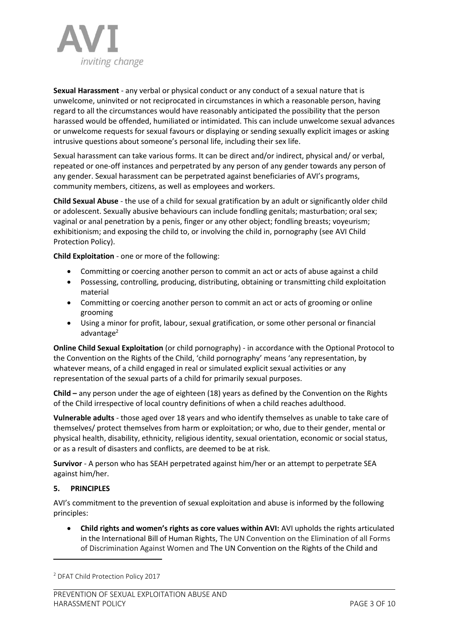

**Sexual Harassment** - any verbal or physical conduct or any conduct of a sexual nature that is unwelcome, uninvited or not reciprocated in circumstances in which a reasonable person, having regard to all the circumstances would have reasonably anticipated the possibility that the person harassed would be offended, humiliated or intimidated. This can include unwelcome sexual advances or unwelcome requests for sexual favours or displaying or sending sexually explicit images or asking intrusive questions about someone's personal life, including their sex life.

Sexual harassment can take various forms. It can be direct and/or indirect, physical and/ or verbal, repeated or one-off instances and perpetrated by any person of any gender towards any person of any gender. Sexual harassment can be perpetrated against beneficiaries of AVI's programs, community members, citizens, as well as employees and workers.

**Child Sexual Abuse** - the use of a child for sexual gratification by an adult or significantly older child or adolescent. Sexually abusive behaviours can include fondling genitals; masturbation; oral sex; vaginal or anal penetration by a penis, finger or any other object; fondling breasts; voyeurism; exhibitionism; and exposing the child to, or involving the child in, pornography (see AVI Child Protection Policy).

**Child Exploitation** - one or more of the following:

- Committing or coercing another person to commit an act or acts of abuse against a child
- Possessing, controlling, producing, distributing, obtaining or transmitting child exploitation material
- Committing or coercing another person to commit an act or acts of grooming or online grooming
- Using a minor for profit, labour, sexual gratification, or some other personal or financial advantage<sup>2</sup>

**Online Child Sexual Exploitation** (or child pornography) - in accordance with the Optional Protocol to the Convention on the Rights of the Child, 'child pornography' means 'any representation, by whatever means, of a child engaged in real or simulated explicit sexual activities or any representation of the sexual parts of a child for primarily sexual purposes.

**Child –** any person under the age of eighteen (18) years as defined by the Convention on the Rights of the Child irrespective of local country definitions of when a child reaches adulthood.

**Vulnerable adults** - those aged over 18 years and who identify themselves as unable to take care of themselves/ protect themselves from harm or exploitation; or who, due to their gender, mental or physical health, disability, ethnicity, religious identity, sexual orientation, economic or social status, or as a result of disasters and conflicts, are deemed to be at risk.

**Survivor** - A person who has SEAH perpetrated against him/her or an attempt to perpetrate SEA against him/her.

# **5. PRINCIPLES**

AVI's commitment to the prevention of sexual exploitation and abuse is informed by the following principles:

• **Child rights and women's rights as core values within AVI:** AVI upholds the rights articulated in the International Bill of Human Rights, The UN Convention on the Elimination of all Forms of Discrimination Against Women and The UN Convention on the Rights of the Child and

<sup>2</sup> DFAT Child Protection Policy 2017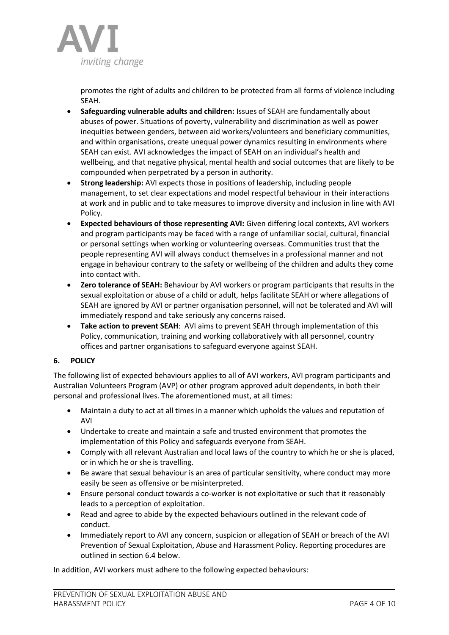

promotes the right of adults and children to be protected from all forms of violence including SEAH.

- **Safeguarding vulnerable adults and children:** Issues of SEAH are fundamentally about abuses of power. Situations of poverty, vulnerability and discrimination as well as power inequities between genders, between aid workers/volunteers and beneficiary communities, and within organisations, create unequal power dynamics resulting in environments where SEAH can exist. AVI acknowledges the impact of SEAH on an individual's health and wellbeing, and that negative physical, mental health and social outcomes that are likely to be compounded when perpetrated by a person in authority.
- **Strong leadership:** AVI expects those in positions of leadership, including people management, to set clear expectations and model respectful behaviour in their interactions at work and in public and to take measures to improve diversity and inclusion in line with AVI Policy.
- **Expected behaviours of those representing AVI:** Given differing local contexts, AVI workers and program participants may be faced with a range of unfamiliar social, cultural, financial or personal settings when working or volunteering overseas. Communities trust that the people representing AVI will always conduct themselves in a professional manner and not engage in behaviour contrary to the safety or wellbeing of the children and adults they come into contact with.
- **Zero tolerance of SEAH:** Behaviour by AVI workers or program participants that results in the sexual exploitation or abuse of a child or adult, helps facilitate SEAH or where allegations of SEAH are ignored by AVI or partner organisation personnel, will not be tolerated and AVI will immediately respond and take seriously any concerns raised.
- **Take action to prevent SEAH**: AVI aims to prevent SEAH through implementation of this Policy, communication, training and working collaboratively with all personnel, country offices and partner organisations to safeguard everyone against SEAH.

# **6. POLICY**

The following list of expected behaviours applies to all of AVI workers, AVI program participants and Australian Volunteers Program (AVP) or other program approved adult dependents, in both their personal and professional lives. The aforementioned must, at all times:

- Maintain a duty to act at all times in a manner which upholds the values and reputation of AVI
- Undertake to create and maintain a safe and trusted environment that promotes the implementation of this Policy and safeguards everyone from SEAH.
- Comply with all relevant Australian and local laws of the country to which he or she is placed, or in which he or she is travelling.
- Be aware that sexual behaviour is an area of particular sensitivity, where conduct may more easily be seen as offensive or be misinterpreted.
- Ensure personal conduct towards a co-worker is not exploitative or such that it reasonably leads to a perception of exploitation.
- Read and agree to abide by the expected behaviours outlined in the relevant code of conduct.
- Immediately report to AVI any concern, suspicion or allegation of SEAH or breach of the AVI Prevention of Sexual Exploitation, Abuse and Harassment Policy. Reporting procedures are outlined in section 6.4 below.

In addition, AVI workers must adhere to the following expected behaviours: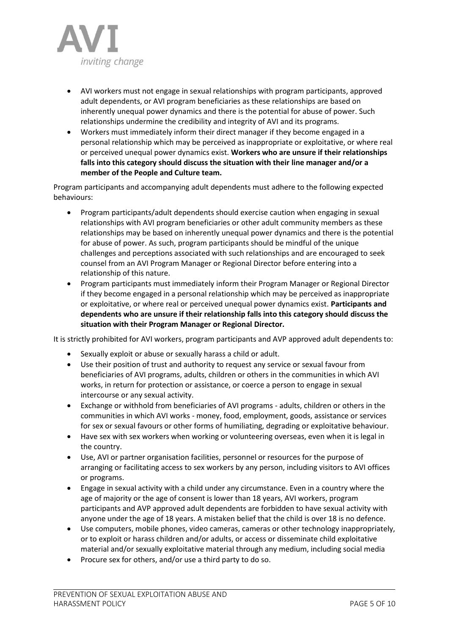

- AVI workers must not engage in sexual relationships with program participants, approved adult dependents, or AVI program beneficiaries as these relationships are based on inherently unequal power dynamics and there is the potential for abuse of power. Such relationships undermine the credibility and integrity of AVI and its programs.
- Workers must immediately inform their direct manager if they become engaged in a personal relationship which may be perceived as inappropriate or exploitative, or where real or perceived unequal power dynamics exist. **Workers who are unsure if their relationships falls into this category should discuss the situation with their line manager and/or a member of the People and Culture team.**

Program participants and accompanying adult dependents must adhere to the following expected behaviours:

- Program participants/adult dependents should exercise caution when engaging in sexual relationships with AVI program beneficiaries or other adult community members as these relationships may be based on inherently unequal power dynamics and there is the potential for abuse of power. As such, program participants should be mindful of the unique challenges and perceptions associated with such relationships and are encouraged to seek counsel from an AVI Program Manager or Regional Director before entering into a relationship of this nature.
- Program participants must immediately inform their Program Manager or Regional Director if they become engaged in a personal relationship which may be perceived as inappropriate or exploitative, or where real or perceived unequal power dynamics exist. **Participants and dependents who are unsure if their relationship falls into this category should discuss the situation with their Program Manager or Regional Director.**

It is strictly prohibited for AVI workers, program participants and AVP approved adult dependents to:

- Sexually exploit or abuse or sexually harass a child or adult.
- Use their position of trust and authority to request any service or sexual favour from beneficiaries of AVI programs, adults, children or others in the communities in which AVI works, in return for protection or assistance, or coerce a person to engage in sexual intercourse or any sexual activity.
- Exchange or withhold from beneficiaries of AVI programs adults, children or others in the communities in which AVI works - money, food, employment, goods, assistance or services for sex or sexual favours or other forms of humiliating, degrading or exploitative behaviour.
- Have sex with sex workers when working or volunteering overseas, even when it is legal in the country.
- Use, AVI or partner organisation facilities, personnel or resources for the purpose of arranging or facilitating access to sex workers by any person, including visitors to AVI offices or programs.
- Engage in sexual activity with a child under any circumstance. Even in a country where the age of majority or the age of consent is lower than 18 years, AVI workers, program participants and AVP approved adult dependents are forbidden to have sexual activity with anyone under the age of 18 years. A mistaken belief that the child is over 18 is no defence.
- Use computers, mobile phones, video cameras, cameras or other technology inappropriately, or to exploit or harass children and/or adults, or access or disseminate child exploitative material and/or sexually exploitative material through any medium, including social media
- Procure sex for others, and/or use a third party to do so.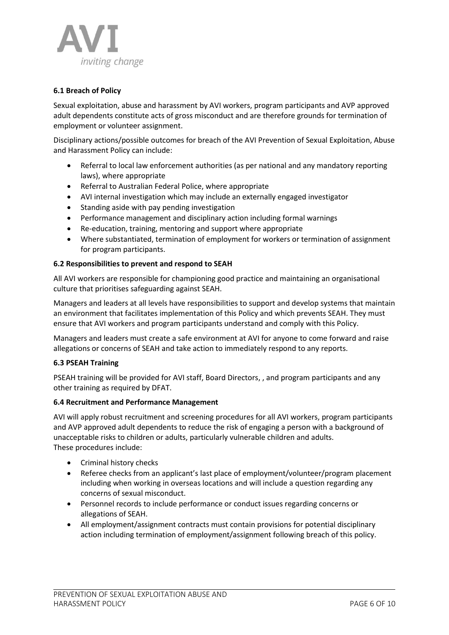

# **6.1 Breach of Policy**

Sexual exploitation, abuse and harassment by AVI workers, program participants and AVP approved adult dependents constitute acts of gross misconduct and are therefore grounds for termination of employment or volunteer assignment.

Disciplinary actions/possible outcomes for breach of the AVI Prevention of Sexual Exploitation, Abuse and Harassment Policy can include:

- Referral to local law enforcement authorities (as per national and any mandatory reporting laws), where appropriate
- Referral to Australian Federal Police, where appropriate
- AVI internal investigation which may include an externally engaged investigator
- Standing aside with pay pending investigation
- Performance management and disciplinary action including formal warnings
- Re-education, training, mentoring and support where appropriate
- Where substantiated, termination of employment for workers or termination of assignment for program participants.

### **6.2 Responsibilities to prevent and respond to SEAH**

All AVI workers are responsible for championing good practice and maintaining an organisational culture that prioritises safeguarding against SEAH.

Managers and leaders at all levels have responsibilities to support and develop systems that maintain an environment that facilitates implementation of this Policy and which prevents SEAH. They must ensure that AVI workers and program participants understand and comply with this Policy.

Managers and leaders must create a safe environment at AVI for anyone to come forward and raise allegations or concerns of SEAH and take action to immediately respond to any reports.

### **6.3 PSEAH Training**

PSEAH training will be provided for AVI staff, Board Directors, , and program participants and any other training as required by DFAT.

### **6.4 Recruitment and Performance Management**

AVI will apply robust recruitment and screening procedures for all AVI workers, program participants and AVP approved adult dependents to reduce the risk of engaging a person with a background of unacceptable risks to children or adults, particularly vulnerable children and adults. These procedures include:

- Criminal history checks
- Referee checks from an applicant's last place of employment/volunteer/program placement including when working in overseas locations and will include a question regarding any concerns of sexual misconduct.
- Personnel records to include performance or conduct issues regarding concerns or allegations of SEAH.
- All employment/assignment contracts must contain provisions for potential disciplinary action including termination of employment/assignment following breach of this policy.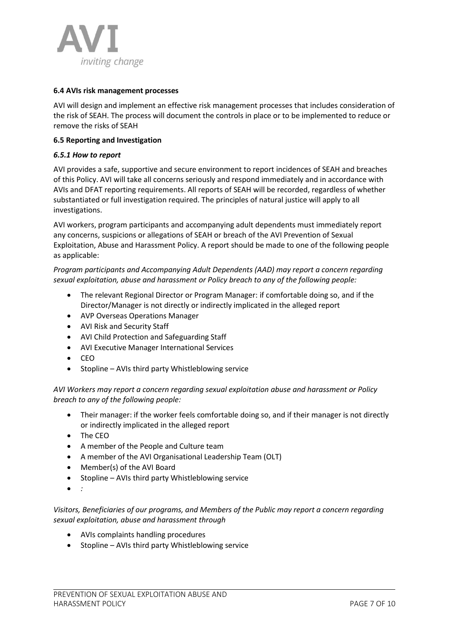

## **6.4 AVIs risk management processes**

AVI will design and implement an effective risk management processes that includes consideration of the risk of SEAH. The process will document the controls in place or to be implemented to reduce or remove the risks of SEAH

## **6.5 Reporting and Investigation**

### *6.5.1 How to report*

AVI provides a safe, supportive and secure environment to report incidences of SEAH and breaches of this Policy. AVI will take all concerns seriously and respond immediately and in accordance with AVIs and DFAT reporting requirements. All reports of SEAH will be recorded, regardless of whether substantiated or full investigation required. The principles of natural justice will apply to all investigations.

AVI workers, program participants and accompanying adult dependents must immediately report any concerns, suspicions or allegations of SEAH or breach of the AVI Prevention of Sexual Exploitation, Abuse and Harassment Policy. A report should be made to one of the following people as applicable:

*Program participants and Accompanying Adult Dependents (AAD) may report a concern regarding sexual exploitation, abuse and harassment or Policy breach to any of the following people:* 

- The relevant Regional Director or Program Manager: if comfortable doing so, and if the Director/Manager is not directly or indirectly implicated in the alleged report
- AVP Overseas Operations Manager
- AVI Risk and Security Staff
- AVI Child Protection and Safeguarding Staff
- AVI Executive Manager International Services
- CEO
- Stopline AVIs third party Whistleblowing service

*AVI Workers may report a concern regarding sexual exploitation abuse and harassment or Policy breach to any of the following people:* 

- Their manager: if the worker feels comfortable doing so, and if their manager is not directly or indirectly implicated in the alleged report
- The CEO
- A member of the People and Culture team
- A member of the AVI Organisational Leadership Team (OLT)
- Member(s) of the AVI Board
- Stopline AVIs third party Whistleblowing service
- *:*

*Visitors, Beneficiaries of our programs, and Members of the Public may report a concern regarding sexual exploitation, abuse and harassment through*

- AVIs complaints handling procedures
- Stopline AVIs third party Whistleblowing service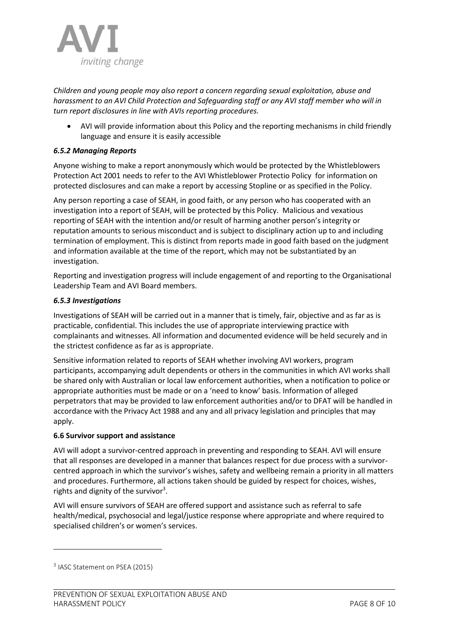

*Children and young people may also report a concern regarding sexual exploitation, abuse and harassment to an AVI Child Protection and Safeguarding staff or any AVI staff member who will in turn report disclosures in line with AVIs reporting procedures.* 

• AVI will provide information about this Policy and the reporting mechanisms in child friendly language and ensure it is easily accessible

# *6.5.2 Managing Reports*

Anyone wishing to make a report anonymously which would be protected by the Whistleblowers Protection Act 2001 needs to refer to the AVI Whistleblower Protectio Policy for information on protected disclosures and can make a report by accessing Stopline or as specified in the Policy.

Any person reporting a case of SEAH, in good faith, or any person who has cooperated with an investigation into a report of SEAH, will be protected by this Policy. Malicious and vexatious reporting of SEAH with the intention and/or result of harming another person's integrity or reputation amounts to serious misconduct and is subject to disciplinary action up to and including termination of employment. This is distinct from reports made in good faith based on the judgment and information available at the time of the report, which may not be substantiated by an investigation.

Reporting and investigation progress will include engagement of and reporting to the Organisational Leadership Team and AVI Board members.

# *6.5.3 Investigations*

Investigations of SEAH will be carried out in a manner that is timely, fair, objective and as far as is practicable, confidential. This includes the use of appropriate interviewing practice with complainants and witnesses. All information and documented evidence will be held securely and in the strictest confidence as far as is appropriate.

Sensitive information related to reports of SEAH whether involving AVI workers, program participants, accompanying adult dependents or others in the communities in which AVI works shall be shared only with Australian or local law enforcement authorities, when a notification to police or appropriate authorities must be made or on a 'need to know' basis. Information of alleged perpetrators that may be provided to law enforcement authorities and/or to DFAT will be handled in accordance with the Privacy Act 1988 and any and all privacy legislation and principles that may apply.

# **6.6 Survivor support and assistance**

AVI will adopt a survivor-centred approach in preventing and responding to SEAH. AVI will ensure that all responses are developed in a manner that balances respect for due process with a survivorcentred approach in which the survivor's wishes, safety and wellbeing remain a priority in all matters and procedures. Furthermore, all actions taken should be guided by respect for choices, wishes, rights and dignity of the survivor<sup>3</sup>.

AVI will ensure survivors of SEAH are offered support and assistance such as referral to safe health/medical, psychosocial and legal/justice response where appropriate and where required to specialised children's or women's services.

<sup>&</sup>lt;sup>3</sup> IASC Statement on PSEA (2015)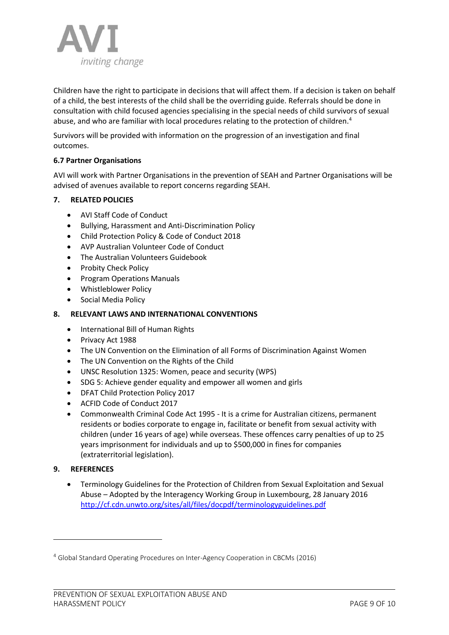

Children have the right to participate in decisions that will affect them. If a decision is taken on behalf of a child, the best interests of the child shall be the overriding guide. Referrals should be done in consultation with child focused agencies specialising in the special needs of child survivors of sexual abuse, and who are familiar with local procedures relating to the protection of children.<sup>4</sup>

Survivors will be provided with information on the progression of an investigation and final outcomes.

# **6.7 Partner Organisations**

AVI will work with Partner Organisations in the prevention of SEAH and Partner Organisations will be advised of avenues available to report concerns regarding SEAH.

## **7. RELATED POLICIES**

- AVI Staff Code of Conduct
- Bullying, Harassment and Anti-Discrimination Policy
- Child Protection Policy & Code of Conduct 2018
- AVP Australian Volunteer Code of Conduct
- The Australian Volunteers Guidebook
- Probity Check Policy
- Program Operations Manuals
- Whistleblower Policy
- Social Media Policy

## **8. RELEVANT LAWS AND INTERNATIONAL CONVENTIONS**

- International Bill of Human Rights
- Privacy Act 1988
- The UN Convention on the Elimination of all Forms of Discrimination Against Women
- The UN Convention on the Rights of the Child
- UNSC Resolution 1325: Women, peace and security (WPS)
- SDG 5: Achieve gender equality and empower all women and girls
- DFAT Child Protection Policy 2017
- ACFID Code of Conduct 2017
- Commonwealth Criminal Code Act 1995 It is a crime for Australian citizens, permanent residents or bodies corporate to engage in, facilitate or benefit from sexual activity with children (under 16 years of age) while overseas. These offences carry penalties of up to 25 years imprisonment for individuals and up to \$500,000 in fines for companies (extraterritorial legislation).

### **9. REFERENCES**

• Terminology Guidelines for the Protection of Children from Sexual Exploitation and Sexual Abuse – Adopted by the Interagency Working Group in Luxembourg, 28 January 2016 <http://cf.cdn.unwto.org/sites/all/files/docpdf/terminologyguidelines.pdf>

<sup>4</sup> Global Standard Operating Procedures on Inter-Agency Cooperation in CBCMs (2016)